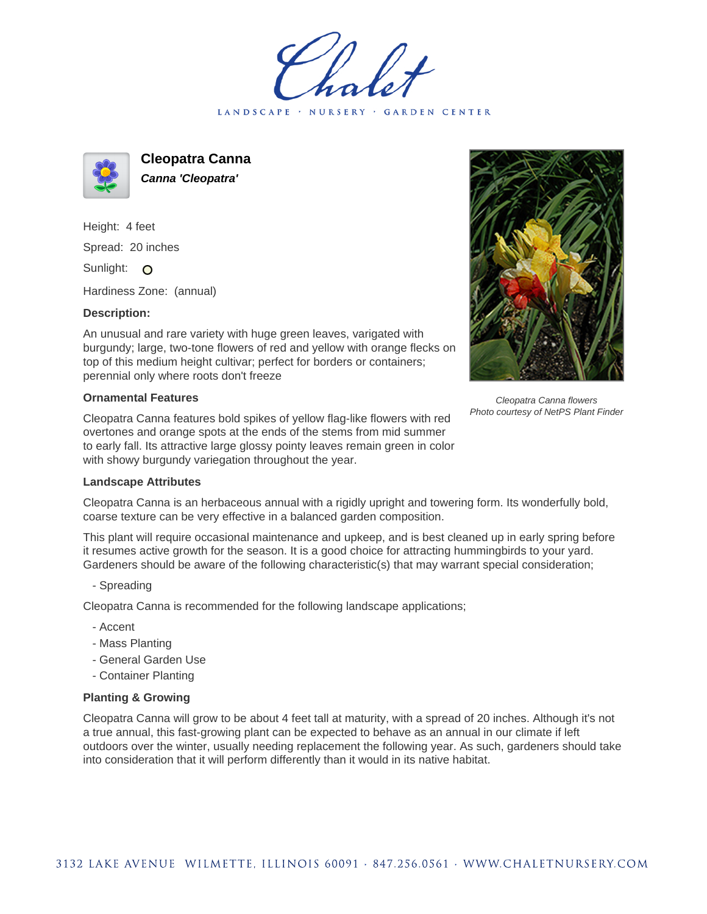LANDSCAPE · NURSERY · GARDEN CENTER



**Cleopatra Canna Canna 'Cleopatra'**

Height: 4 feet Spread: 20 inches Sunlight: O

Hardiness Zone: (annual)

## **Description:**

An unusual and rare variety with huge green leaves, varigated with burgundy; large, two-tone flowers of red and yellow with orange flecks on top of this medium height cultivar; perfect for borders or containers; perennial only where roots don't freeze

## **Ornamental Features**

Cleopatra Canna features bold spikes of yellow flag-like flowers with red overtones and orange spots at the ends of the stems from mid summer to early fall. Its attractive large glossy pointy leaves remain green in color with showy burgundy variegation throughout the year.



Cleopatra Canna is an herbaceous annual with a rigidly upright and towering form. Its wonderfully bold, coarse texture can be very effective in a balanced garden composition.

This plant will require occasional maintenance and upkeep, and is best cleaned up in early spring before it resumes active growth for the season. It is a good choice for attracting hummingbirds to your yard. Gardeners should be aware of the following characteristic(s) that may warrant special consideration;

- Spreading

Cleopatra Canna is recommended for the following landscape applications;

- Accent
- Mass Planting
- General Garden Use
- Container Planting

## **Planting & Growing**

Cleopatra Canna will grow to be about 4 feet tall at maturity, with a spread of 20 inches. Although it's not a true annual, this fast-growing plant can be expected to behave as an annual in our climate if left outdoors over the winter, usually needing replacement the following year. As such, gardeners should take into consideration that it will perform differently than it would in its native habitat.



Cleopatra Canna flowers Photo courtesy of NetPS Plant Finder